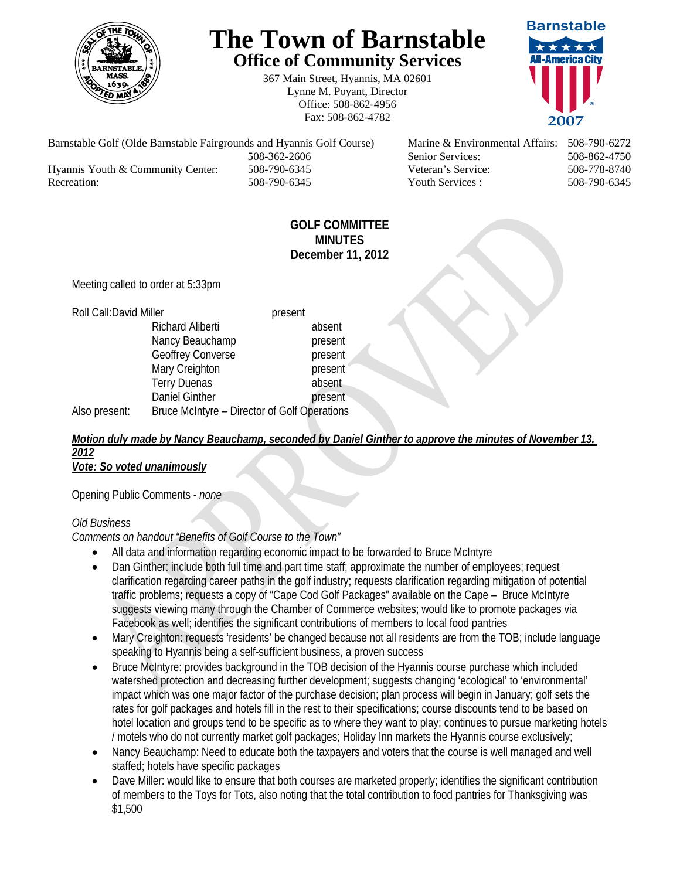

# **The Town of Barnstable Office of Community Services**

367 Main Street, Hyannis, MA 02601 Lynne M. Poyant, Director Office: 508-862-4956 Fax: 508-862-4782



Barnstable Golf (Olde Barnstable Fairgrounds and Hyannis Golf Course) Marine & Environmental Affairs: 508-790-6272 508-362-2606 Senior Services: 508-862-4750 Hyannis Youth & Community Center: 508-790-6345 Veteran's Service: 508-778-8740 Recreation: 508-790-6345 Youth Services : 508-790-6345 S08-790-6345

## **GOLF COMMITTEE MINUTES December 11, 2012**

Meeting called to order at 5:33pm

#### Roll Call: David Miller **present**

Richard Aliberti absent Nancy Beauchamp **present** Geoffrey Converse **present** Mary Creighton **present**  Terry Duenas absent Daniel Ginther **present** 

Also present: Bruce McIntyre – Director of Golf Operations

#### *Motion duly made by Nancy Beauchamp, seconded by Daniel Ginther to approve the minutes of November 13, 2012 Vote: So voted unanimously*

Opening Public Comments - *none* 

## *Old Business*

*Comments on handout "Benefits of Golf Course to the Town"* 

- All data and information regarding economic impact to be forwarded to Bruce McIntyre
- Dan Ginther: include both full time and part time staff; approximate the number of employees; request clarification regarding career paths in the golf industry; requests clarification regarding mitigation of potential traffic problems; requests a copy of "Cape Cod Golf Packages" available on the Cape – Bruce McIntyre suggests viewing many through the Chamber of Commerce websites; would like to promote packages via Facebook as well; identifies the significant contributions of members to local food pantries
- Mary Creighton: requests 'residents' be changed because not all residents are from the TOB; include language speaking to Hyannis being a self-sufficient business, a proven success
- Bruce McIntyre: provides background in the TOB decision of the Hyannis course purchase which included watershed protection and decreasing further development; suggests changing 'ecological' to 'environmental' impact which was one major factor of the purchase decision; plan process will begin in January; golf sets the rates for golf packages and hotels fill in the rest to their specifications; course discounts tend to be based on hotel location and groups tend to be specific as to where they want to play; continues to pursue marketing hotels / motels who do not currently market golf packages; Holiday Inn markets the Hyannis course exclusively;
- Nancy Beauchamp: Need to educate both the taxpayers and voters that the course is well managed and well staffed; hotels have specific packages
- Dave Miller: would like to ensure that both courses are marketed properly; identifies the significant contribution of members to the Toys for Tots, also noting that the total contribution to food pantries for Thanksgiving was \$1,500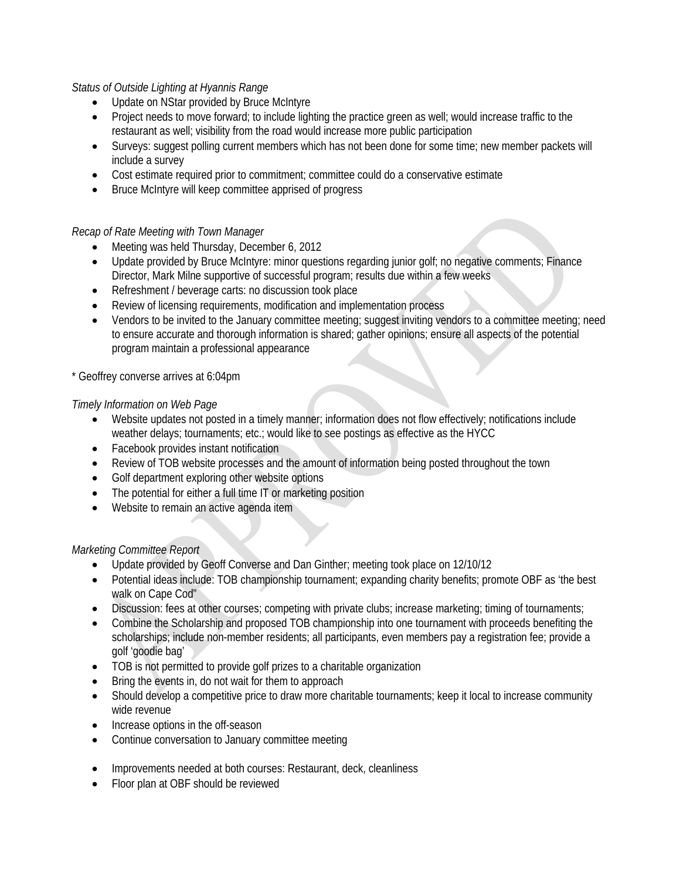## *Status of Outside Lighting at Hyannis Range*

- Update on NStar provided by Bruce McIntyre
- Project needs to move forward; to include lighting the practice green as well; would increase traffic to the restaurant as well; visibility from the road would increase more public participation
- Surveys: suggest polling current members which has not been done for some time; new member packets will include a survey
- Cost estimate required prior to commitment; committee could do a conservative estimate
- Bruce McIntyre will keep committee apprised of progress

### *Recap of Rate Meeting with Town Manager*

- Meeting was held Thursday, December 6, 2012
- Update provided by Bruce McIntyre: minor questions regarding junior golf; no negative comments; Finance Director, Mark Milne supportive of successful program; results due within a few weeks
- Refreshment / beverage carts: no discussion took place
- Review of licensing requirements, modification and implementation process
- Vendors to be invited to the January committee meeting; suggest inviting vendors to a committee meeting; need to ensure accurate and thorough information is shared; gather opinions; ensure all aspects of the potential program maintain a professional appearance

### \* Geoffrey converse arrives at 6:04pm

### *Timely Information on Web Page*

- Website updates not posted in a timely manner; information does not flow effectively; notifications include weather delays; tournaments; etc.; would like to see postings as effective as the HYCC
- Facebook provides instant notification
- Review of TOB website processes and the amount of information being posted throughout the town
- Golf department exploring other website options
- The potential for either a full time IT or marketing position
- Website to remain an active agenda item

### *Marketing Committee Report*

- Update provided by Geoff Converse and Dan Ginther; meeting took place on 12/10/12
- Potential ideas include: TOB championship tournament; expanding charity benefits; promote OBF as 'the best walk on Cape Cod"
- Discussion: fees at other courses; competing with private clubs; increase marketing; timing of tournaments;
- Combine the Scholarship and proposed TOB championship into one tournament with proceeds benefiting the scholarships; include non-member residents; all participants, even members pay a registration fee; provide a golf 'goodie bag'
- TOB is not permitted to provide golf prizes to a charitable organization
- Bring the events in, do not wait for them to approach
- Should develop a competitive price to draw more charitable tournaments; keep it local to increase community wide revenue
- Increase options in the off-season
- Continue conversation to January committee meeting
- Improvements needed at both courses: Restaurant, deck, cleanliness
- Floor plan at OBF should be reviewed